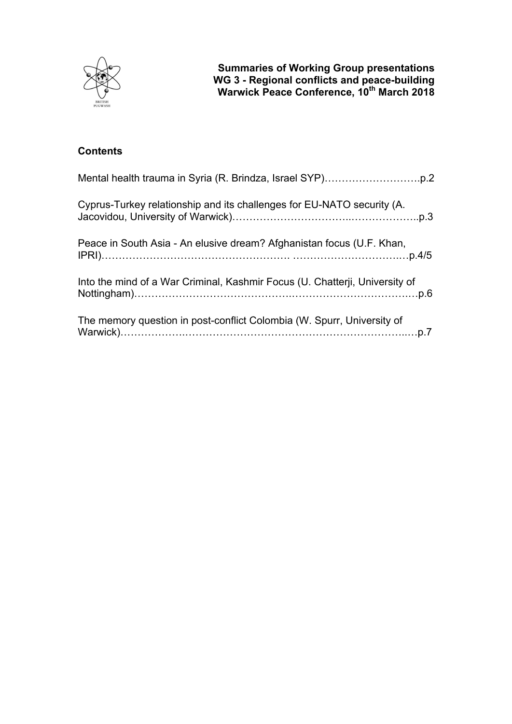

# **Contents**

| Cyprus-Turkey relationship and its challenges for EU-NATO security (A.      |
|-----------------------------------------------------------------------------|
| Peace in South Asia - An elusive dream? Afghanistan focus (U.F. Khan,       |
| Into the mind of a War Criminal, Kashmir Focus (U. Chatterji, University of |
| The memory question in post-conflict Colombia (W. Spurr, University of      |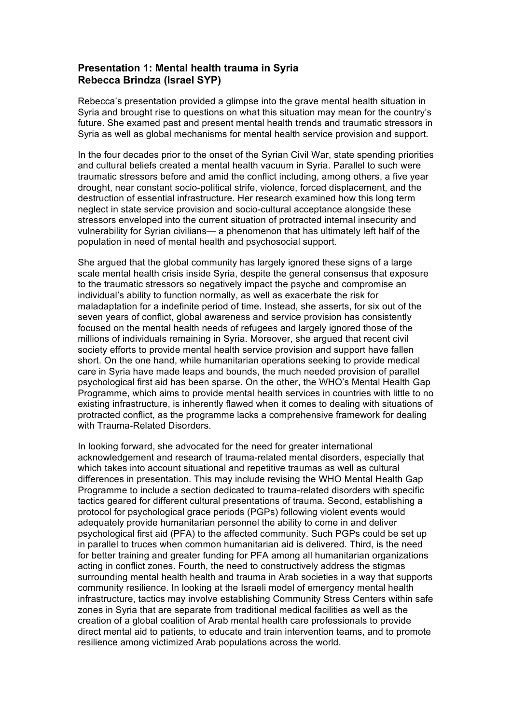## **Presentation 1: Mental health trauma in Syria Rebecca Brindza (Israel SYP)**

Rebecca's presentation provided a glimpse into the grave mental health situation in Syria and brought rise to questions on what this situation may mean for the country's future. She examed past and present mental health trends and traumatic stressors in Syria as well as global mechanisms for mental health service provision and support.

In the four decades prior to the onset of the Syrian Civil War, state spending priorities and cultural beliefs created a mental health vacuum in Syria. Parallel to such were traumatic stressors before and amid the conflict including, among others, a five year drought, near constant socio-political strife, violence, forced displacement, and the destruction of essential infrastructure. Her research examined how this long term neglect in state service provision and socio-cultural acceptance alongside these stressors enveloped into the current situation of protracted internal insecurity and vulnerability for Syrian civilians— a phenomenon that has ultimately left half of the population in need of mental health and psychosocial support.

She argued that the global community has largely ignored these signs of a large scale mental health crisis inside Syria, despite the general consensus that exposure to the traumatic stressors so negatively impact the psyche and compromise an individual's ability to function normally, as well as exacerbate the risk for maladaptation for a indefinite period of time. Instead, she asserts, for six out of the seven years of conflict, global awareness and service provision has consistently focused on the mental health needs of refugees and largely ignored those of the millions of individuals remaining in Syria. Moreover, she argued that recent civil society efforts to provide mental health service provision and support have fallen short. On the one hand, while humanitarian operations seeking to provide medical care in Syria have made leaps and bounds, the much needed provision of parallel psychological first aid has been sparse. On the other, the WHO's Mental Health Gap Programme, which aims to provide mental health services in countries with little to no existing infrastructure, is inherently flawed when it comes to dealing with situations of protracted conflict, as the programme lacks a comprehensive framework for dealing with Trauma-Related Disorders.

In looking forward, she advocated for the need for greater international acknowledgement and research of trauma-related mental disorders, especially that which takes into account situational and repetitive traumas as well as cultural differences in presentation. This may include revising the WHO Mental Health Gap Programme to include a section dedicated to trauma-related disorders with specific tactics geared for different cultural presentations of trauma. Second, establishing a protocol for psychological grace periods (PGPs) following violent events would adequately provide humanitarian personnel the ability to come in and deliver psychological first aid (PFA) to the affected community. Such PGPs could be set up in parallel to truces when common humanitarian aid is delivered. Third, is the need for better training and greater funding for PFA among all humanitarian organizations acting in conflict zones. Fourth, the need to constructively address the stigmas surrounding mental health health and trauma in Arab societies in a way that supports community resilience. In looking at the Israeli model of emergency mental health infrastructure, tactics may involve establishing Community Stress Centers within safe zones in Syria that are separate from traditional medical facilities as well as the creation of a global coalition of Arab mental health care professionals to provide direct mental aid to patients, to educate and train intervention teams, and to promote resilience among victimized Arab populations across the world.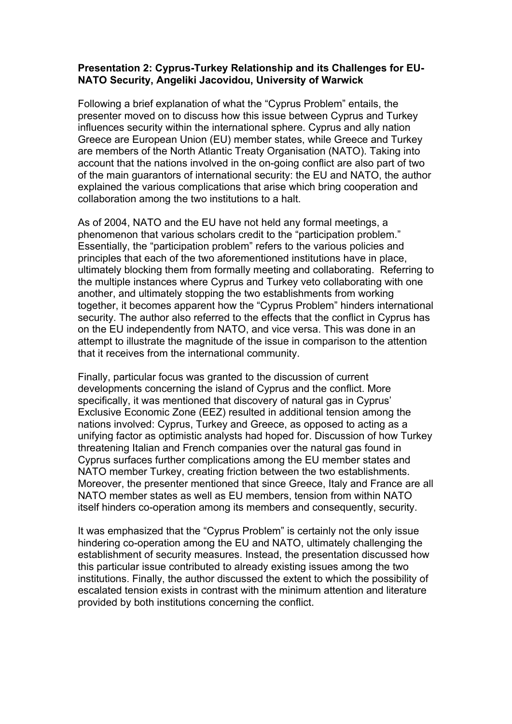## **Presentation 2: Cyprus-Turkey Relationship and its Challenges for EU-NATO Security, Angeliki Jacovidou, University of Warwick**

Following a brief explanation of what the "Cyprus Problem" entails, the presenter moved on to discuss how this issue between Cyprus and Turkey influences security within the international sphere. Cyprus and ally nation Greece are European Union (EU) member states, while Greece and Turkey are members of the North Atlantic Treaty Organisation (NATO). Taking into account that the nations involved in the on-going conflict are also part of two of the main guarantors of international security: the EU and NATO, the author explained the various complications that arise which bring cooperation and collaboration among the two institutions to a halt.

As of 2004, NATO and the EU have not held any formal meetings, a phenomenon that various scholars credit to the "participation problem." Essentially, the "participation problem" refers to the various policies and principles that each of the two aforementioned institutions have in place, ultimately blocking them from formally meeting and collaborating. Referring to the multiple instances where Cyprus and Turkey veto collaborating with one another, and ultimately stopping the two establishments from working together, it becomes apparent how the "Cyprus Problem" hinders international security. The author also referred to the effects that the conflict in Cyprus has on the EU independently from NATO, and vice versa. This was done in an attempt to illustrate the magnitude of the issue in comparison to the attention that it receives from the international community.

Finally, particular focus was granted to the discussion of current developments concerning the island of Cyprus and the conflict. More specifically, it was mentioned that discovery of natural gas in Cyprus' Exclusive Economic Zone (EEZ) resulted in additional tension among the nations involved: Cyprus, Turkey and Greece, as opposed to acting as a unifying factor as optimistic analysts had hoped for. Discussion of how Turkey threatening Italian and French companies over the natural gas found in Cyprus surfaces further complications among the EU member states and NATO member Turkey, creating friction between the two establishments. Moreover, the presenter mentioned that since Greece, Italy and France are all NATO member states as well as EU members, tension from within NATO itself hinders co-operation among its members and consequently, security.

It was emphasized that the "Cyprus Problem" is certainly not the only issue hindering co-operation among the EU and NATO, ultimately challenging the establishment of security measures. Instead, the presentation discussed how this particular issue contributed to already existing issues among the two institutions. Finally, the author discussed the extent to which the possibility of escalated tension exists in contrast with the minimum attention and literature provided by both institutions concerning the conflict.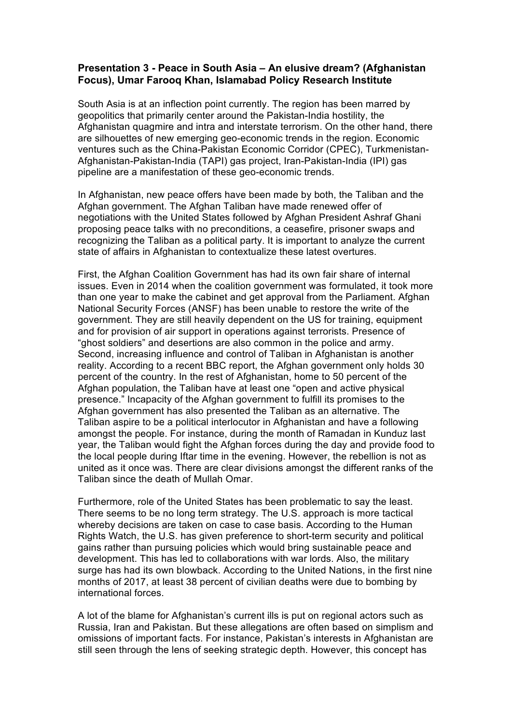### **Presentation 3 - Peace in South Asia – An elusive dream? (Afghanistan Focus), Umar Farooq Khan, Islamabad Policy Research Institute**

South Asia is at an inflection point currently. The region has been marred by geopolitics that primarily center around the Pakistan-India hostility, the Afghanistan quagmire and intra and interstate terrorism. On the other hand, there are silhouettes of new emerging geo-economic trends in the region. Economic ventures such as the China-Pakistan Economic Corridor (CPEC), Turkmenistan-Afghanistan-Pakistan-India (TAPI) gas project, Iran-Pakistan-India (IPI) gas pipeline are a manifestation of these geo-economic trends.

In Afghanistan, new peace offers have been made by both, the Taliban and the Afghan government. The Afghan Taliban have made renewed offer of negotiations with the United States followed by Afghan President Ashraf Ghani proposing peace talks with no preconditions, a ceasefire, prisoner swaps and recognizing the Taliban as a political party. It is important to analyze the current state of affairs in Afghanistan to contextualize these latest overtures.

First, the Afghan Coalition Government has had its own fair share of internal issues. Even in 2014 when the coalition government was formulated, it took more than one year to make the cabinet and get approval from the Parliament. Afghan National Security Forces (ANSF) has been unable to restore the write of the government. They are still heavily dependent on the US for training, equipment and for provision of air support in operations against terrorists. Presence of "ghost soldiers" and desertions are also common in the police and army. Second, increasing influence and control of Taliban in Afghanistan is another reality. According to a recent BBC report, the Afghan government only holds 30 percent of the country. In the rest of Afghanistan, home to 50 percent of the Afghan population, the Taliban have at least one "open and active physical presence." Incapacity of the Afghan government to fulfill its promises to the Afghan government has also presented the Taliban as an alternative. The Taliban aspire to be a political interlocutor in Afghanistan and have a following amongst the people. For instance, during the month of Ramadan in Kunduz last year, the Taliban would fight the Afghan forces during the day and provide food to the local people during Iftar time in the evening. However, the rebellion is not as united as it once was. There are clear divisions amongst the different ranks of the Taliban since the death of Mullah Omar.

Furthermore, role of the United States has been problematic to say the least. There seems to be no long term strategy. The U.S. approach is more tactical whereby decisions are taken on case to case basis. According to the Human Rights Watch, the U.S. has given preference to short-term security and political gains rather than pursuing policies which would bring sustainable peace and development. This has led to collaborations with war lords. Also, the military surge has had its own blowback. According to the United Nations, in the first nine months of 2017, at least 38 percent of civilian deaths were due to bombing by international forces.

A lot of the blame for Afghanistan's current ills is put on regional actors such as Russia, Iran and Pakistan. But these allegations are often based on simplism and omissions of important facts. For instance, Pakistan's interests in Afghanistan are still seen through the lens of seeking strategic depth. However, this concept has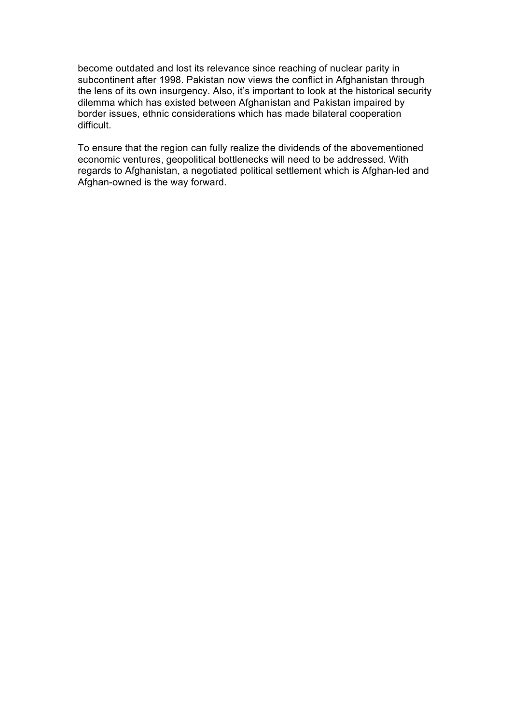become outdated and lost its relevance since reaching of nuclear parity in subcontinent after 1998. Pakistan now views the conflict in Afghanistan through the lens of its own insurgency. Also, it's important to look at the historical security dilemma which has existed between Afghanistan and Pakistan impaired by border issues, ethnic considerations which has made bilateral cooperation difficult.

To ensure that the region can fully realize the dividends of the abovementioned economic ventures, geopolitical bottlenecks will need to be addressed. With regards to Afghanistan, a negotiated political settlement which is Afghan-led and Afghan-owned is the way forward.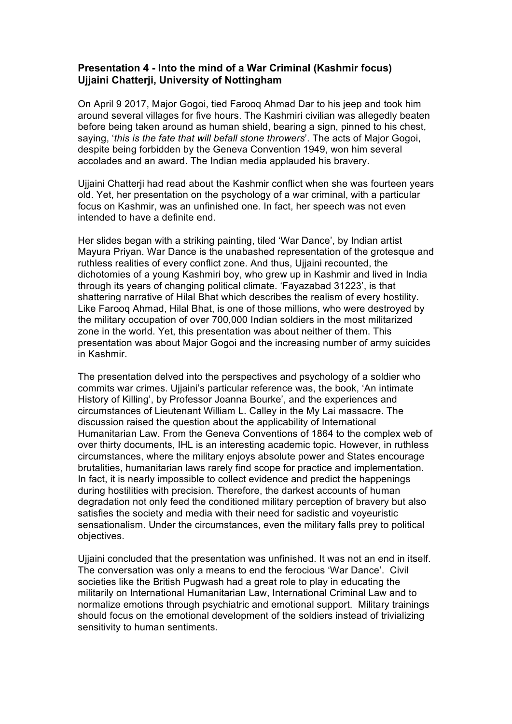## **Presentation 4 - Into the mind of a War Criminal (Kashmir focus) Ujjaini Chatterji, University of Nottingham**

On April 9 2017, Major Gogoi, tied Farooq Ahmad Dar to his jeep and took him around several villages for five hours. The Kashmiri civilian was allegedly beaten before being taken around as human shield, bearing a sign, pinned to his chest, saying, '*this is the fate that will befall stone throwers*'. The acts of Major Gogoi, despite being forbidden by the Geneva Convention 1949, won him several accolades and an award. The Indian media applauded his bravery.

Ujjaini Chatterji had read about the Kashmir conflict when she was fourteen years old. Yet, her presentation on the psychology of a war criminal, with a particular focus on Kashmir, was an unfinished one. In fact, her speech was not even intended to have a definite end.

Her slides began with a striking painting, tiled 'War Dance', by Indian artist Mayura Priyan. War Dance is the unabashed representation of the grotesque and ruthless realities of every conflict zone. And thus, Ujjaini recounted, the dichotomies of a young Kashmiri boy, who grew up in Kashmir and lived in India through its years of changing political climate. 'Fayazabad 31223', is that shattering narrative of Hilal Bhat which describes the realism of every hostility. Like Farooq Ahmad, Hilal Bhat, is one of those millions, who were destroyed by the military occupation of over 700,000 Indian soldiers in the most militarized zone in the world. Yet, this presentation was about neither of them. This presentation was about Major Gogoi and the increasing number of army suicides in Kashmir.

The presentation delved into the perspectives and psychology of a soldier who commits war crimes. Ujjaini's particular reference was, the book, 'An intimate History of Killing', by Professor Joanna Bourke', and the experiences and circumstances of Lieutenant William L. Calley in the My Lai massacre. The discussion raised the question about the applicability of International Humanitarian Law. From the Geneva Conventions of 1864 to the complex web of over thirty documents, IHL is an interesting academic topic. However, in ruthless circumstances, where the military enjoys absolute power and States encourage brutalities, humanitarian laws rarely find scope for practice and implementation. In fact, it is nearly impossible to collect evidence and predict the happenings during hostilities with precision. Therefore, the darkest accounts of human degradation not only feed the conditioned military perception of bravery but also satisfies the society and media with their need for sadistic and voyeuristic sensationalism. Under the circumstances, even the military falls prey to political objectives.

Ujjaini concluded that the presentation was unfinished. It was not an end in itself. The conversation was only a means to end the ferocious 'War Dance'. Civil societies like the British Pugwash had a great role to play in educating the militarily on International Humanitarian Law, International Criminal Law and to normalize emotions through psychiatric and emotional support. Military trainings should focus on the emotional development of the soldiers instead of trivializing sensitivity to human sentiments.